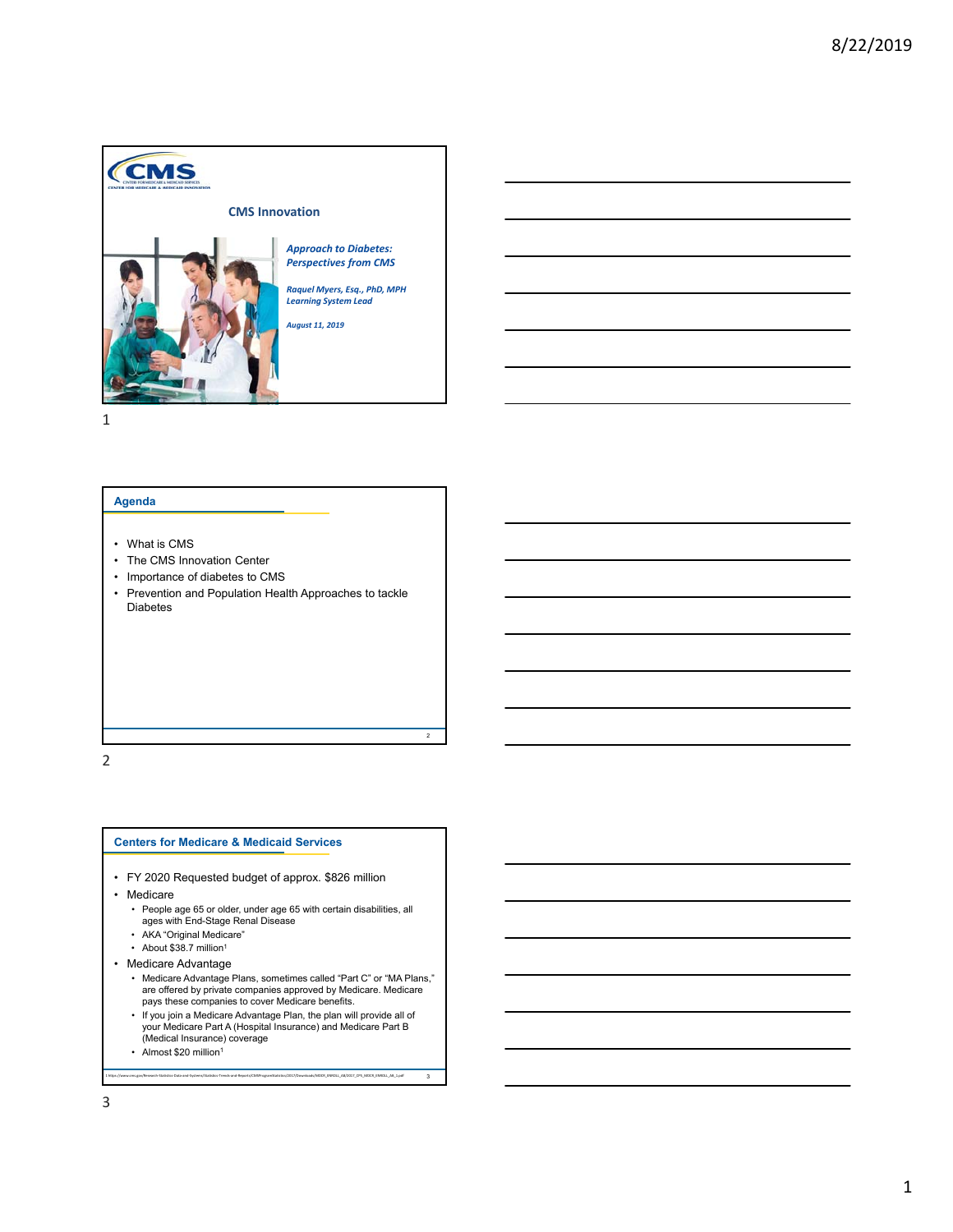

## **Agenda**

- What is CMS
- The CMS Innovation Center
- Importance of diabetes to CMS
- Prevention and Population Health Approaches to tackle Diabetes

2

3

2

### **Centers for Medicare & Medicaid Services**

- FY 2020 Requested budget of approx. \$826 million
- Medicare
	- People age 65 or older, under age 65 with certain disabilities, all ages with End-Stage Renal Disease
	- AKA "Original Medicare"
	- About \$38.7 million<sup>1</sup>
- Medicare Advantage
	- Medicare Advantage Plans, sometimes called "Part C" or "MA Plans," are offered by private companies approved by Medicare. Medicare pays these companies to cover Medicare benefits.
	- If you join a Medicare Advantage Plan, the plan will provide all of your Medicare Part A (Hospital Insurance) and Medicare Part B (Medical Insurance) coverage

1 https://www.cms.gov/Research‐Statistics‐Data‐and‐Systems/Statistics‐Trends‐and‐Reports/CMSProgramStatistics/2017/Downloads/MDCR\_ENROLL\_AB/2017\_CPS\_MDCR\_ENROLL\_AB\_1.pdf

• Almost \$20 million<sup>1</sup>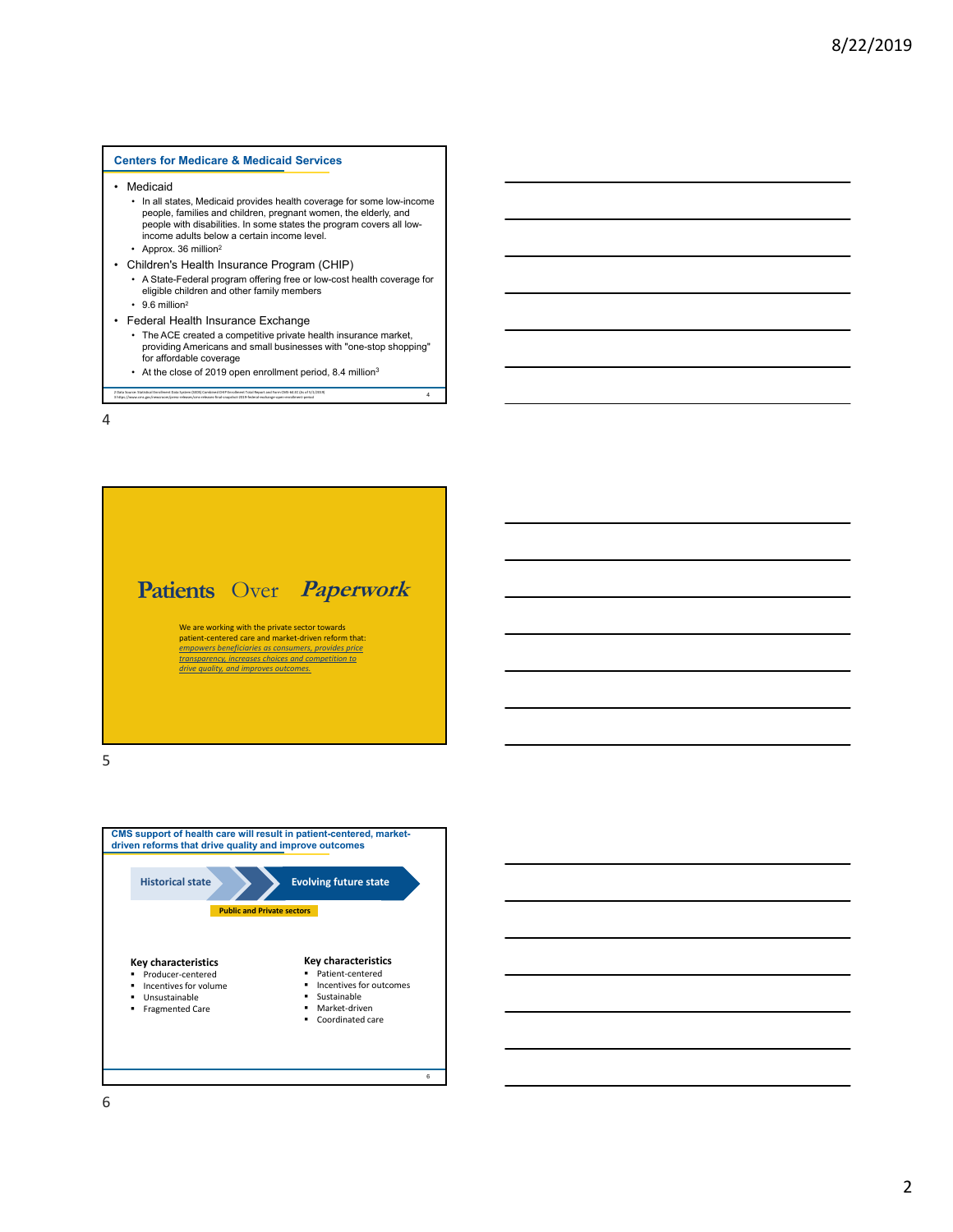## **Centers for Medicare & Medicaid Services**

- Medicaid
	- In all states, Medicaid provides health coverage for some low-income people, families and children, pregnant women, the elderly, and people with disabilities. In some states the program covers all lowincome adults below a certain income level.
	- Approx. 36 million<sup>2</sup>
- Children's Health Insurance Program (CHIP)
	- A State-Federal program offering free or low-cost health coverage for eligible children and other family members
	- $\cdot$  9.6 million<sup>2</sup>
- Federal Health Insurance Exchange

2 Data Source: Statistical Enrollment Data System (SEDS) Combined CHIP Enrollment Total Report and Form CMS‐64.EC (As of 5/1/2019)

• The ACE created a competitive private health insurance market, providing Americans and small businesses with "one-stop shopping" for affordable coverage

4

• At the close of 2019 open enrollment period, 8.4 million<sup>3</sup>

3 https://www.cms.gov/newsroom/press‐releases/cms‐releases‐final‐snapshot‐2019‐federal‐exchange‐open‐enrollment‐period

4



5



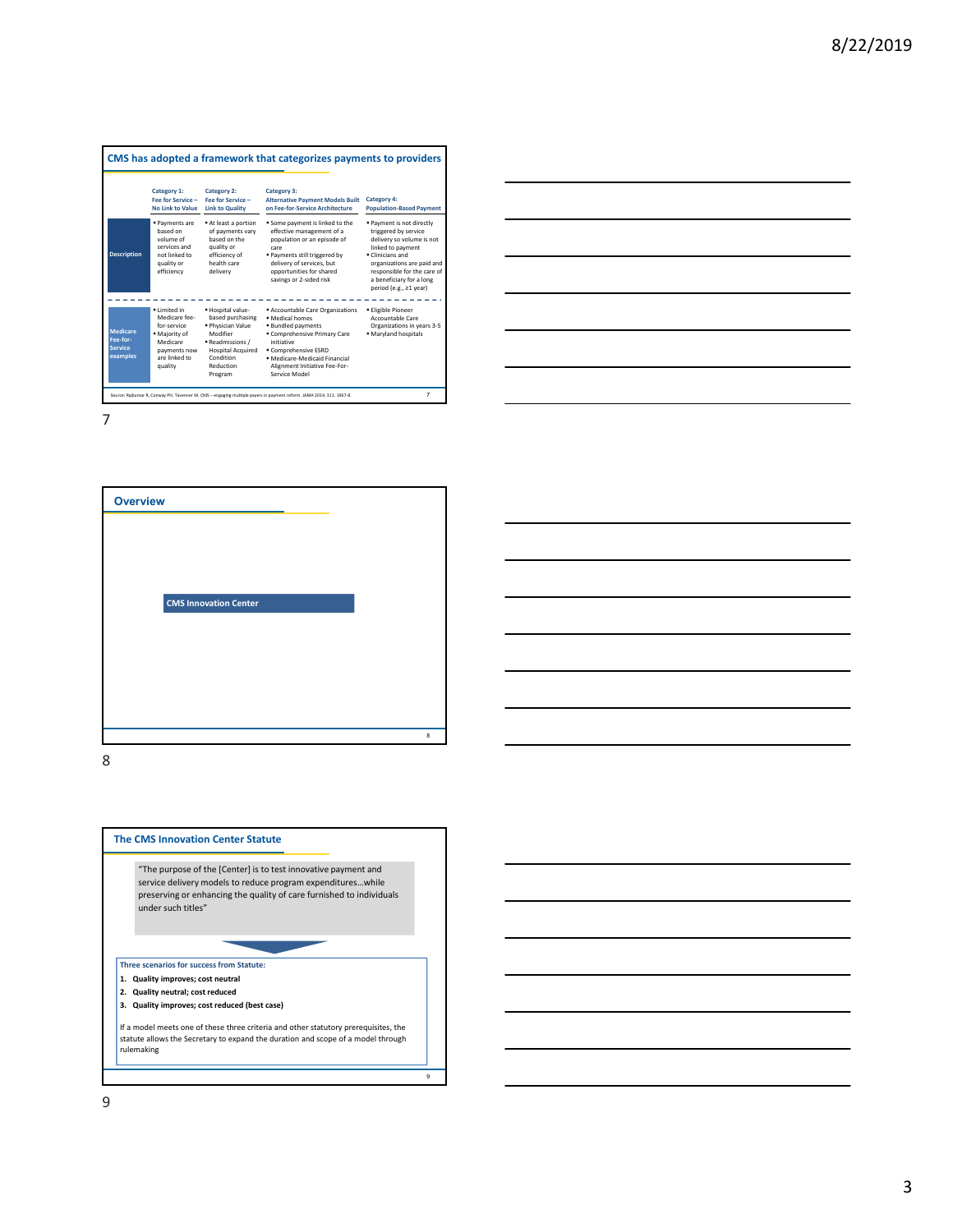|                                                    | Category 1:<br><b>Fee for Service -</b><br><b>No Link to Value</b>                                                    | Category 2:<br>Fee for Service -<br><b>Link to Quality</b>                                                                                                | Category 3:<br><b>Alternative Payment Models Built</b><br>on Fee-for-Service Architecture                                                                                                                                    | Category 4:<br><b>Population-Based Payment</b>                                                                                                                                                                                           |
|----------------------------------------------------|-----------------------------------------------------------------------------------------------------------------------|-----------------------------------------------------------------------------------------------------------------------------------------------------------|------------------------------------------------------------------------------------------------------------------------------------------------------------------------------------------------------------------------------|------------------------------------------------------------------------------------------------------------------------------------------------------------------------------------------------------------------------------------------|
| <b>Description</b>                                 | · Payments are<br>hased on<br>volume of<br>services and<br>not linked to<br>quality or<br>efficiency                  | At least a portion<br>of payments vary<br>hased on the<br>quality or<br>efficiency of<br>health care<br>delivery                                          | Some payment is linked to the<br>effective management of a<br>population or an episode of<br>care<br>· Payments still triggered by<br>delivery of services, but<br>opportunities for shared<br>savings or 2-sided risk       | · Payment is not directly<br>triggered by service<br>delivery so volume is not<br>linked to payment<br>Clinicians and<br>organizations are paid and<br>responsible for the care of<br>a beneficiary for a long<br>period (e.g., ≥1 year) |
| Medicare<br>Fee-for-<br><b>Service</b><br>examples | · Limited in<br>Medicare fee-<br>for-service<br>. Majority of<br>Medicare<br>payments now<br>are linked to<br>quality | . Hospital value-<br>based purchasing<br>· Physician Value<br>Modifier<br>Readmissions /<br><b>Hospital Acquired</b><br>Condition<br>Reduction<br>Program | Accountable Care Organizations<br>· Medical homes<br>. Bundled payments<br>Comprehensive Primary Care<br>initiative<br>Comprehensive ESRD<br>· Medicare-Medicaid Financial<br>Alignment Initiative Fee-For-<br>Service Model | · Eligible Pioneer<br>Accountable Care<br>Organizations in years 3-5<br>· Maryland hospitals                                                                                                                                             |



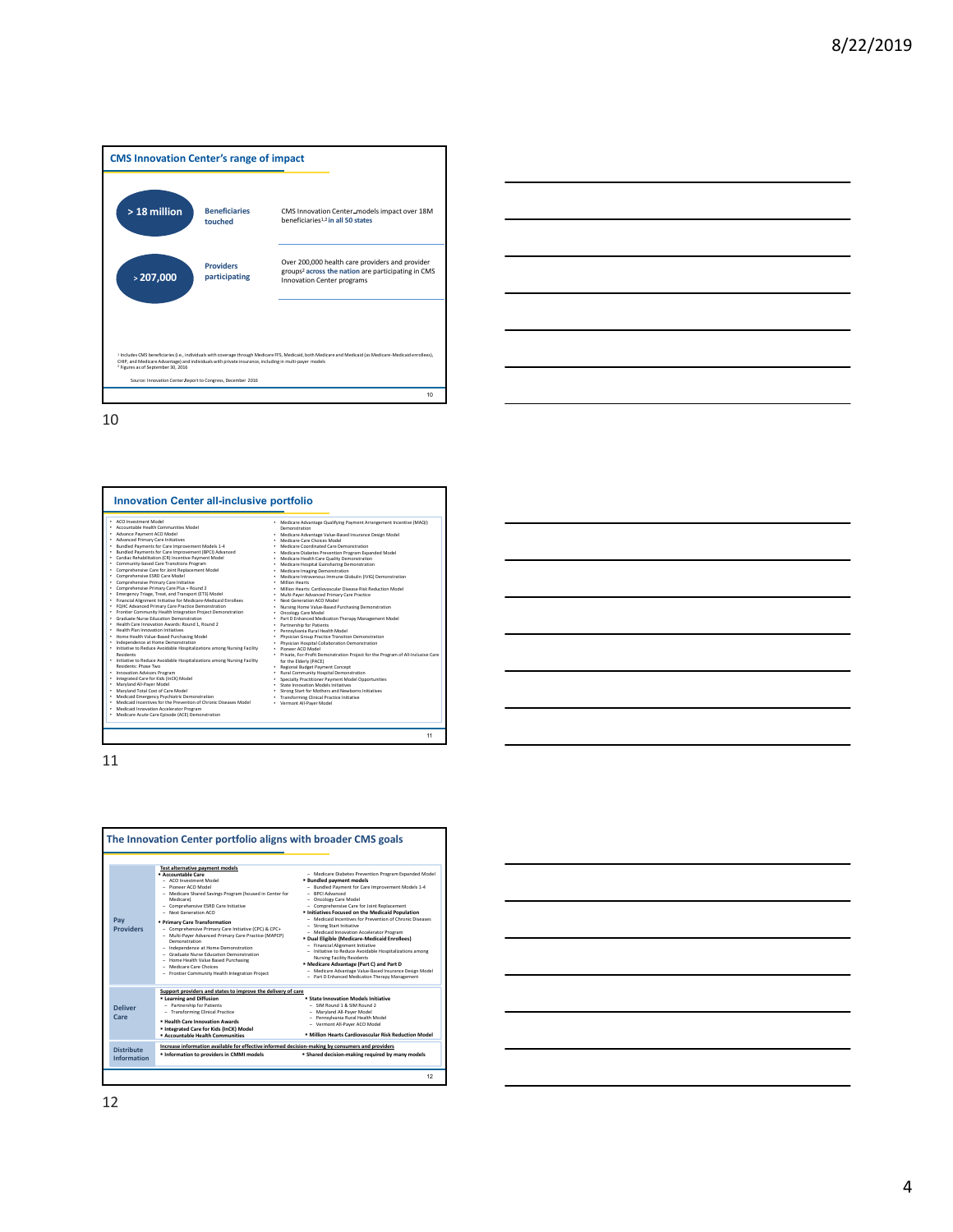







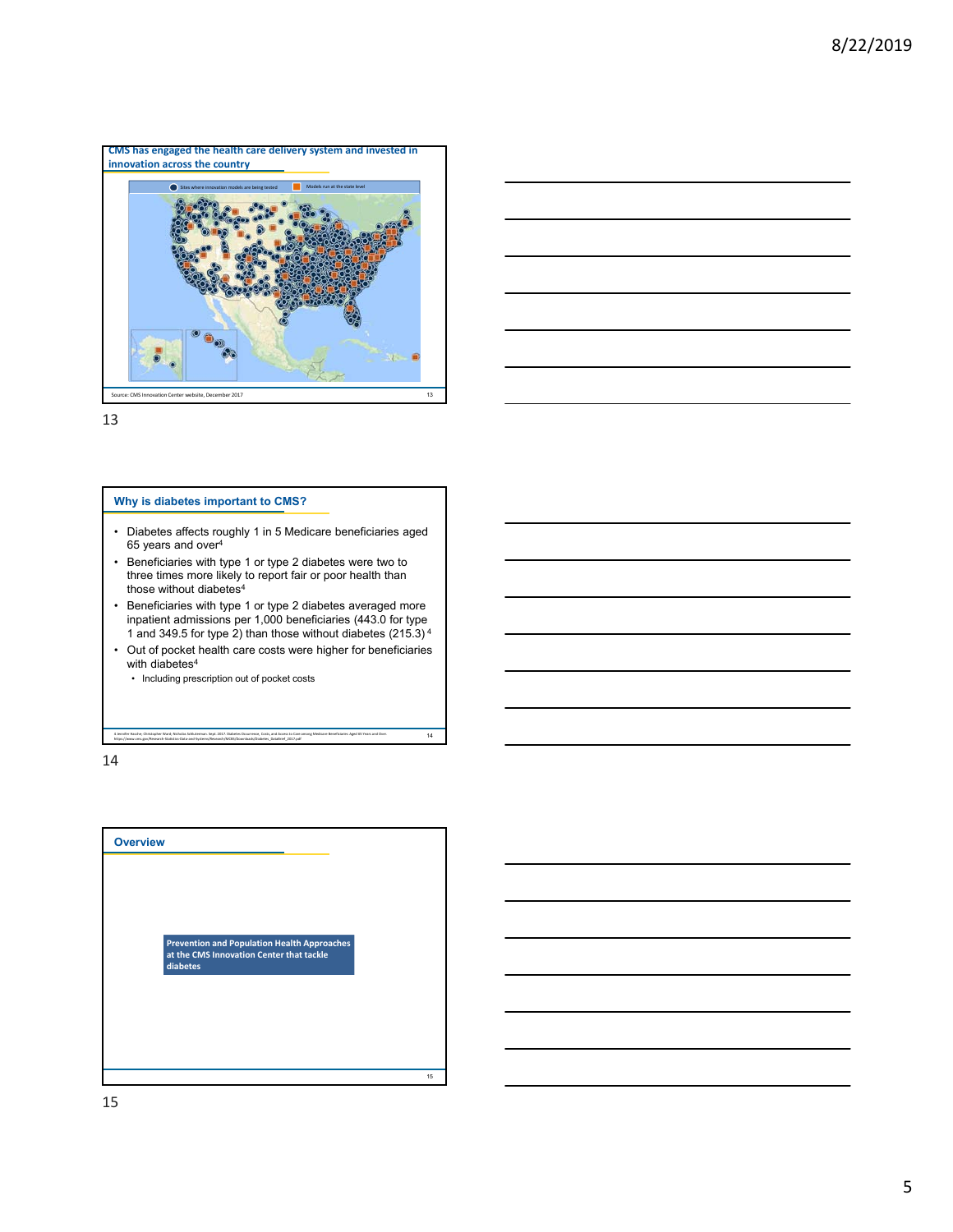



## **Why is diabetes important to CMS?**

- Diabetes affects roughly 1 in 5 Medicare beneficiaries aged 65 years and over4
- Beneficiaries with type 1 or type 2 diabetes were two to three times more likely to report fair or poor health than those without diabetes<sup>4</sup>
- Beneficiaries with type 1 or type 2 diabetes averaged more inpatient admissions per 1,000 beneficiaries (443.0 for type 1 and 349.5 for type 2) than those without diabetes (215.3) <sup>4</sup>
- Out of pocket health care costs were higher for beneficiaries with diabetes $4$

4 Jennifer Hasche; Christopher Ward; Nicholas Schluterman. Sept. 2017. Diabetes Occurrence, Costs, and Access to Care among Medicare Beneficiaries Aged 65 Years and Over.

 $\overline{14}$ 

• Including prescription out of pocket costs

https://www.cms.gov/Research‐Statistics‐Data‐and‐Systems/Research/MCBS/Downloads/Diabetes\_DataBrief\_2017.pdf

14

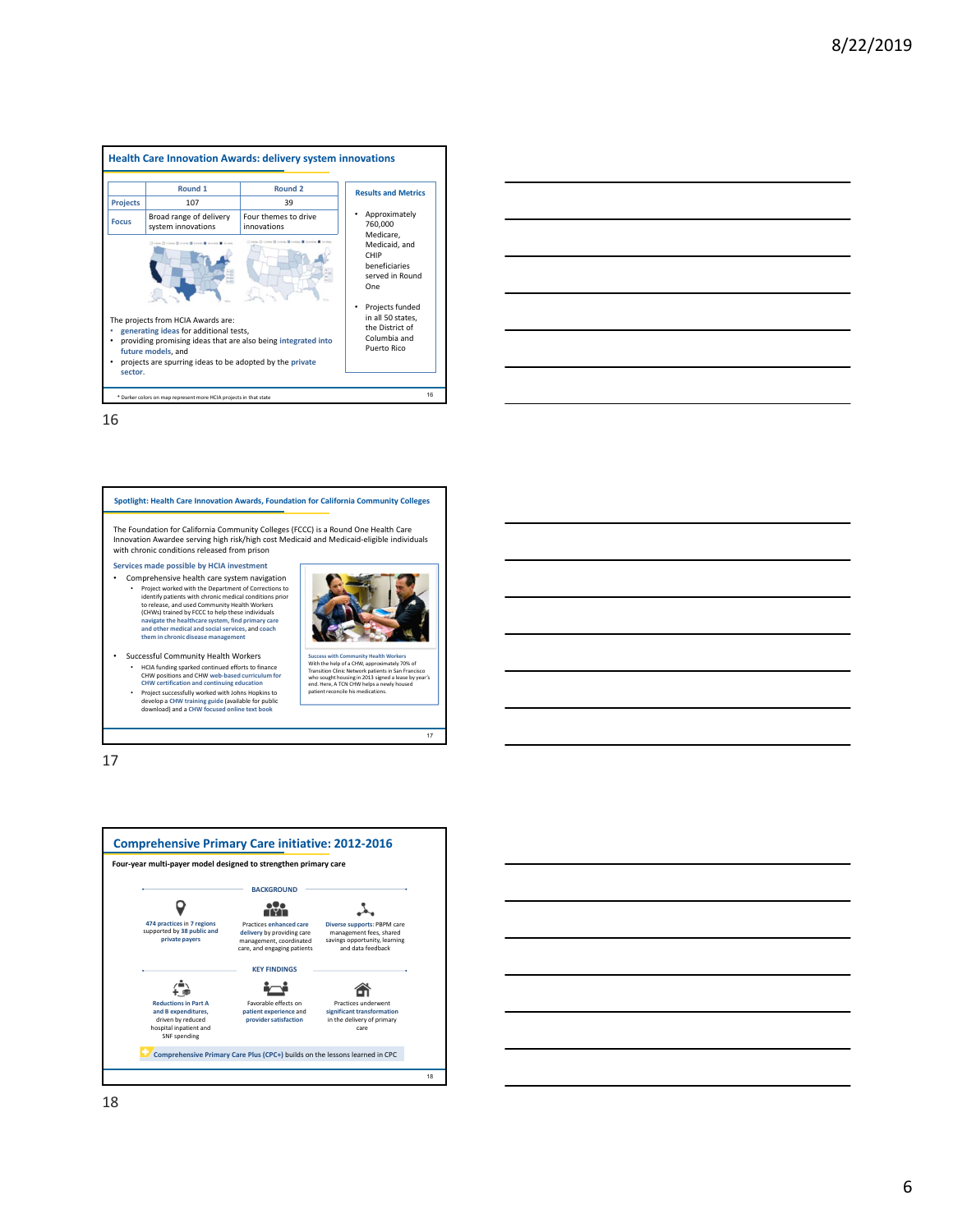|                 | Round <sub>1</sub>                                                                                                                                                                                                                         | Round <sub>2</sub>                                                                     | <b>Results and Metrics</b>                                       |
|-----------------|--------------------------------------------------------------------------------------------------------------------------------------------------------------------------------------------------------------------------------------------|----------------------------------------------------------------------------------------|------------------------------------------------------------------|
| <b>Projects</b> | 107                                                                                                                                                                                                                                        | 39                                                                                     |                                                                  |
| <b>Focus</b>    | Broad range of delivery<br>system innovations                                                                                                                                                                                              | Four themes to drive<br>innovations                                                    | Approximately<br>760,000<br>Medicare.                            |
|                 | □ 100m □ 110m □ 110m □ 110m ■ 010m ■ 010m ■ 010m                                                                                                                                                                                           | Close Chicago II stress II seems II would II                                           | Medicaid, and<br>CHIP<br>beneficiaries<br>served in Round<br>One |
|                 | The projects from HCIA Awards are:<br>generating ideas for additional tests,<br>providing promising ideas that are also being integrated into<br>future models, and<br>projects are spurring ideas to be adopted by the private<br>sector. | Projects funded<br>in all 50 states,<br>the District of<br>Columbia and<br>Puerto Rico |                                                                  |





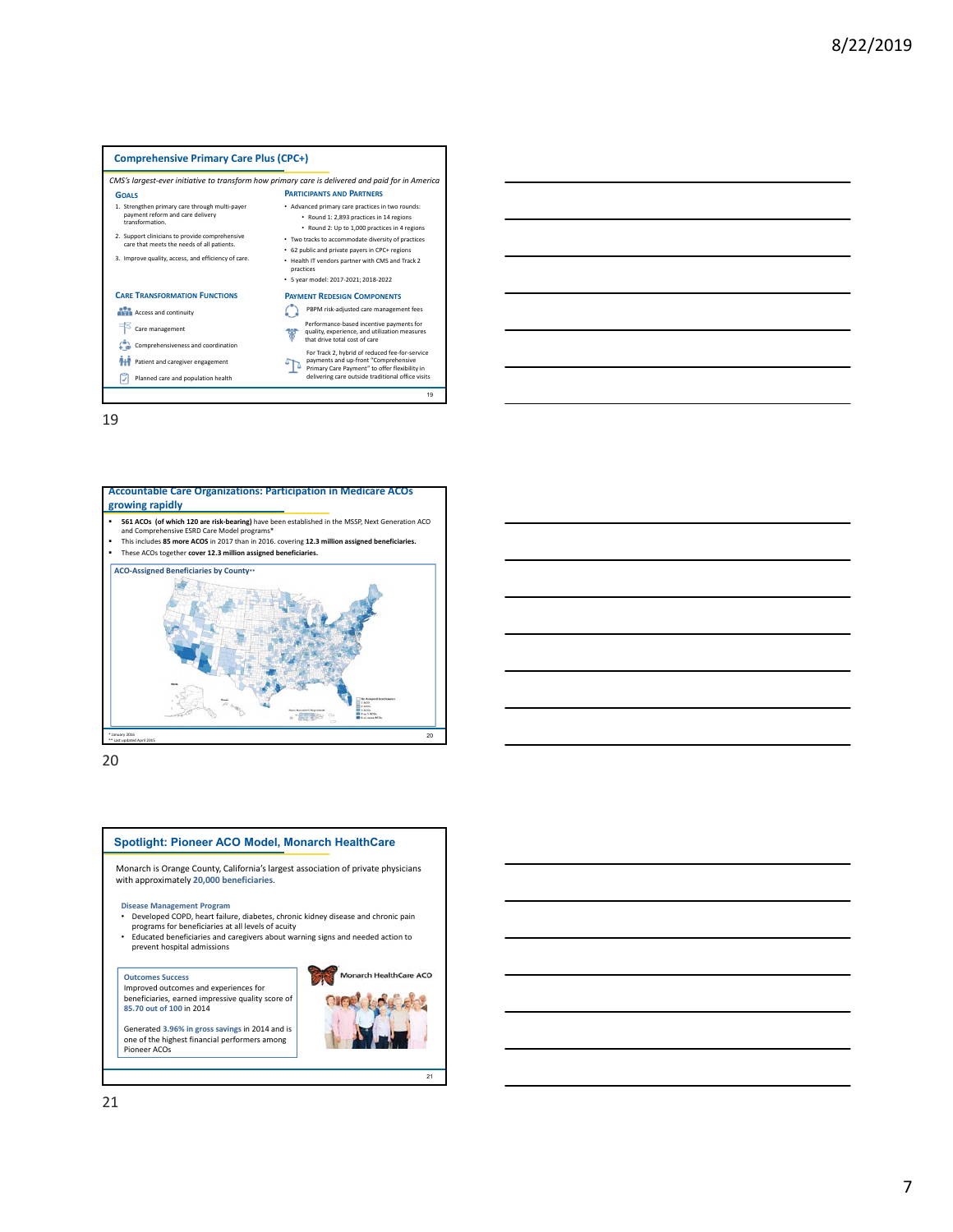#### **Comprehensive Primary Care Plus (CPC+)** *CMS's largest‐ever initiative to transform how primary care is delivered and paid for in America* **COALS PARTICIPANTS AND PARTNERS** • Advanced primary care practices in two rounds: 1. Strengthen primary care through multi‐payer payment reform and care delivery transformation. • Round 1: 2,893 practices in 14 regions • Round 2: Up to 1,000 practices in 4 regions • Two tracks to accommodate diversity of practices 2. Support clinicians to provide comprehensive care that meets the needs of all patients. • 62 public and private payers in CPC+ regions 3. Improve quality, access, and efficiency of care. • Health IT vendors partner with CMS and Track 2 practices • 5 year model: 2017‐2021; 2018‐2022 **CARE TRANSFORMATION FUNCTIONS PAYMENT REDESIGN COMPONENTS** PBPM risk‐adjusted care management fees **ACCESS** and continuity Care management Performance‐based incentive payments for quality, experience, and utilization measures that drive total cost of care ¥ Comprehensiveness and coordination For Track 2, hybrid of reduced fee-for-service<br>payments and up-front "Comprehensive<br>Primary Care Payment" to offer flexibility in<br>delivering care outside traditional office visits **Patient and caregiver engagement** Planned care and population health 19





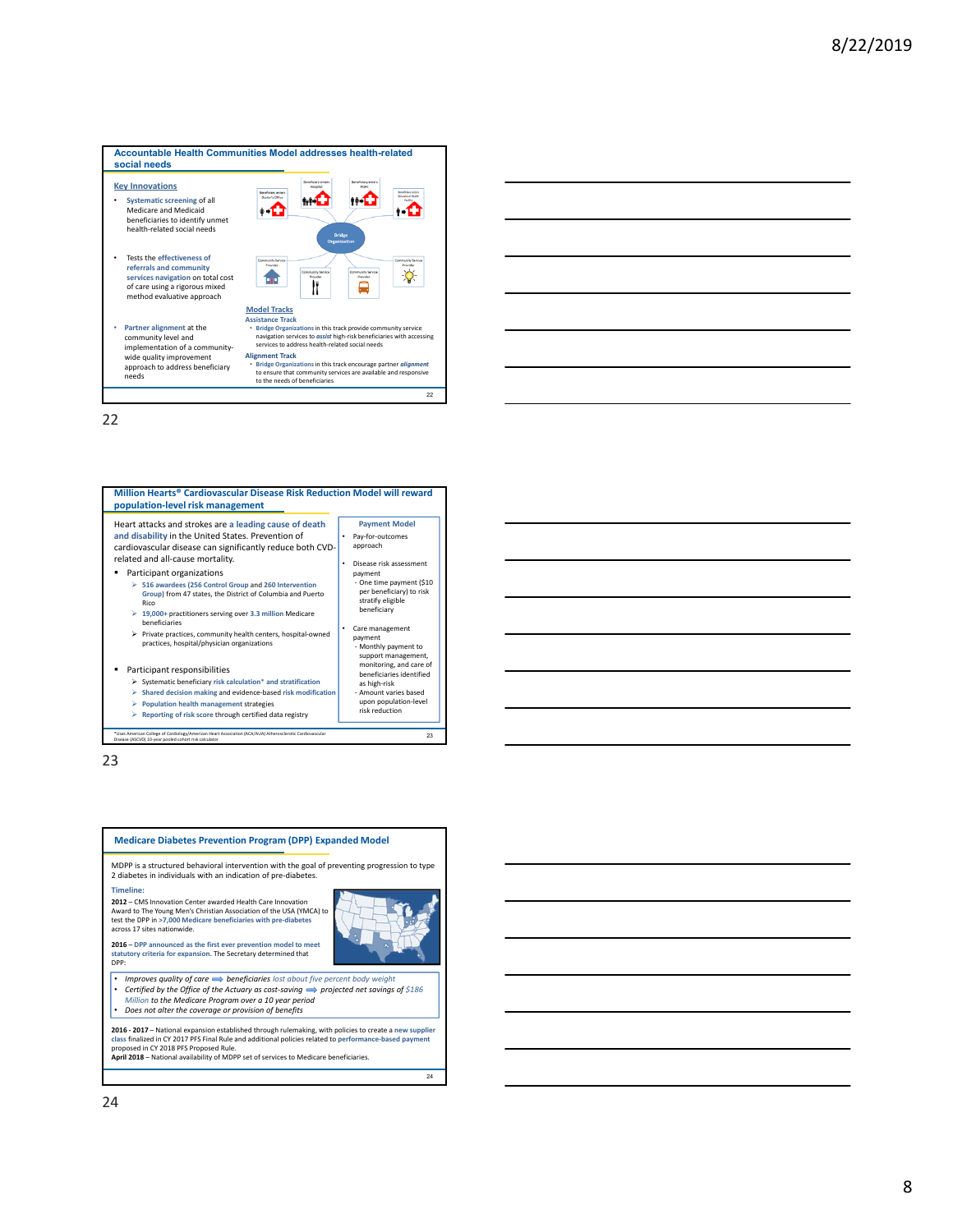

| Million Hearts® Cardiovascular Disease Risk Reduction Model will reward<br>population-level risk management                                                                                                                                                                                                                                                                                                                                                                         |                                                                                                                                                                                        |
|-------------------------------------------------------------------------------------------------------------------------------------------------------------------------------------------------------------------------------------------------------------------------------------------------------------------------------------------------------------------------------------------------------------------------------------------------------------------------------------|----------------------------------------------------------------------------------------------------------------------------------------------------------------------------------------|
| Heart attacks and strokes are a leading cause of death<br>and disability in the United States. Prevention of<br>cardiovascular disease can significantly reduce both CVD-<br>related and all-cause mortality.<br>Participant organizations<br>$\triangleright$ 516 awardees (256 Control Group and 260 Intervention<br>Group) from 47 states, the District of Columbia and Puerto<br>Rico<br>$\geq 19,000+$ practitioners serving over 3.3 million Medicare<br><b>beneficiaries</b> | <b>Payment Model</b><br>Pay-for-outcomes<br>approach<br>Disease risk assessment<br>payment<br>- One time payment (\$10<br>per beneficiary) to risk<br>stratify eligible<br>beneficiary |
| $\triangleright$ Private practices, community health centers, hospital-owned<br>practices, hospital/physician organizations<br>Participant responsibilities<br>$\triangleright$ Systematic beneficiary risk calculation* and stratification<br>Shared decision making and evidence-based risk modification                                                                                                                                                                          | Care management<br>payment<br>- Monthly payment to<br>support management,<br>monitoring, and care of<br>beneficiaries identified<br>as high-risk<br>- Amount varies based              |
| <b>Population health management strategies</b><br>Reporting of risk score through certified data registry<br>*Uses American College of Cardiology/American Heart Association (ACA/AUA) Atherosclerotic Cardiovascular<br>Disease (ASCVD) 10-year pooled cohort risk calculator                                                                                                                                                                                                      | upon population-level<br>risk reduction<br>23                                                                                                                                          |